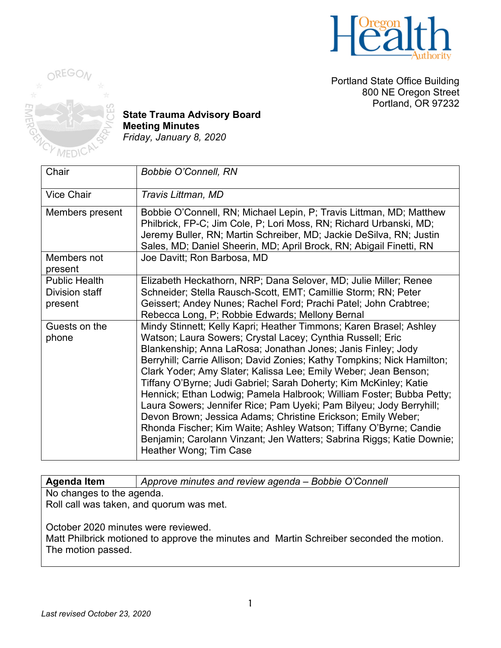

Portland State Office Building 800 NE Oregon Street Portland, OR 97232



**State Trauma Advisory Board Meeting Minutes** *Friday, January 8, 2020*

| Chair                                             | <b>Bobbie O'Connell, RN</b>                                                                                                                                                                                                                                                                                                                                                                                                                                                                                                                                                                                                                                                                                                                                                                                |
|---------------------------------------------------|------------------------------------------------------------------------------------------------------------------------------------------------------------------------------------------------------------------------------------------------------------------------------------------------------------------------------------------------------------------------------------------------------------------------------------------------------------------------------------------------------------------------------------------------------------------------------------------------------------------------------------------------------------------------------------------------------------------------------------------------------------------------------------------------------------|
| <b>Vice Chair</b>                                 | Travis Littman, MD                                                                                                                                                                                                                                                                                                                                                                                                                                                                                                                                                                                                                                                                                                                                                                                         |
| Members present                                   | Bobbie O'Connell, RN; Michael Lepin, P; Travis Littman, MD; Matthew<br>Philbrick, FP-C; Jim Cole, P; Lori Moss, RN; Richard Urbanski, MD;<br>Jeremy Buller, RN; Martin Schreiber, MD; Jackie DeSilva, RN; Justin<br>Sales, MD; Daniel Sheerin, MD; April Brock, RN; Abigail Finetti, RN                                                                                                                                                                                                                                                                                                                                                                                                                                                                                                                    |
| Members not<br>present                            | Joe Davitt; Ron Barbosa, MD                                                                                                                                                                                                                                                                                                                                                                                                                                                                                                                                                                                                                                                                                                                                                                                |
| <b>Public Health</b><br>Division staff<br>present | Elizabeth Heckathorn, NRP; Dana Selover, MD; Julie Miller; Renee<br>Schneider; Stella Rausch-Scott, EMT; Camillie Storm; RN; Peter<br>Geissert; Andey Nunes; Rachel Ford; Prachi Patel; John Crabtree;<br>Rebecca Long, P; Robbie Edwards; Mellony Bernal                                                                                                                                                                                                                                                                                                                                                                                                                                                                                                                                                  |
| Guests on the<br>phone                            | Mindy Stinnett; Kelly Kapri; Heather Timmons; Karen Brasel; Ashley<br>Watson; Laura Sowers; Crystal Lacey; Cynthia Russell; Eric<br>Blankenship; Anna LaRosa; Jonathan Jones; Janis Finley; Jody<br>Berryhill; Carrie Allison; David Zonies; Kathy Tompkins; Nick Hamilton;<br>Clark Yoder; Amy Slater; Kalissa Lee; Emily Weber; Jean Benson;<br>Tiffany O'Byrne; Judi Gabriel; Sarah Doherty; Kim McKinley; Katie<br>Hennick; Ethan Lodwig; Pamela Halbrook; William Foster; Bubba Petty;<br>Laura Sowers; Jennifer Rice; Pam Uyeki; Pam Bilyeu; Jody Berryhill;<br>Devon Brown; Jessica Adams; Christine Erickson; Emily Weber;<br>Rhonda Fischer; Kim Waite; Ashley Watson; Tiffany O'Byrne; Candie<br>Benjamin; Carolann Vinzant; Jen Watters; Sabrina Riggs; Katie Downie;<br>Heather Wong; Tim Case |

**Agenda Item** *Approve minutes and review agenda – Bobbie O'Connell* No changes to the agenda.

Roll call was taken, and quorum was met.

October 2020 minutes were reviewed.

Matt Philbrick motioned to approve the minutes and Martin Schreiber seconded the motion. The motion passed.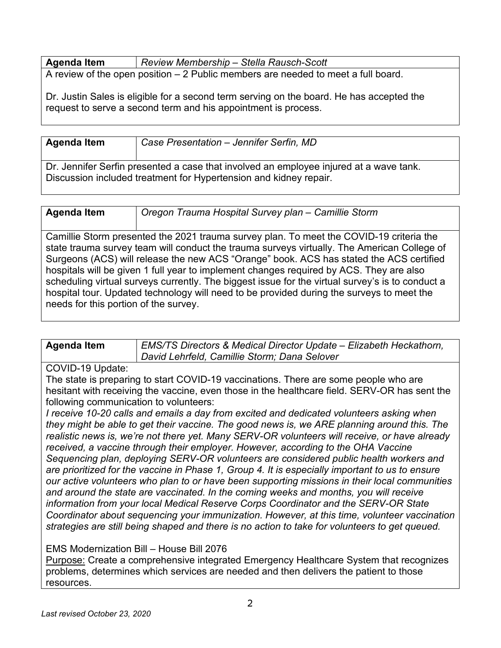| <b>Agenda Item</b> | Review Membership – Stella Rausch-Scott                                            |
|--------------------|------------------------------------------------------------------------------------|
|                    | A review of the open position $-2$ Public members are needed to meet a full board. |

Dr. Justin Sales is eligible for a second term serving on the board. He has accepted the request to serve a second term and his appointment is process.

| ∣ Agenda Item | Case Presentation - Jennifer Serfin, MD |
|---------------|-----------------------------------------|
|               |                                         |

Dr. Jennifer Serfin presented a case that involved an employee injured at a wave tank. Discussion included treatment for Hypertension and kidney repair.

| <b>Agenda Item</b> | Oregon Trauma Hospital Survey plan - Camillie Storm |
|--------------------|-----------------------------------------------------|

Camillie Storm presented the 2021 trauma survey plan. To meet the COVID-19 criteria the state trauma survey team will conduct the trauma surveys virtually. The American College of Surgeons (ACS) will release the new ACS "Orange" book. ACS has stated the ACS certified hospitals will be given 1 full year to implement changes required by ACS. They are also scheduling virtual surveys currently. The biggest issue for the virtual survey's is to conduct a hospital tour. Updated technology will need to be provided during the surveys to meet the needs for this portion of the survey.

| Agenda Item | EMS/TS Directors & Medical Director Update – Elizabeth Heckathorn, |
|-------------|--------------------------------------------------------------------|
|             | David Lehrfeld, Camillie Storm; Dana Selover                       |

#### COVID-19 Update:

The state is preparing to start COVID-19 vaccinations. There are some people who are hesitant with receiving the vaccine, even those in the healthcare field. SERV-OR has sent the following communication to volunteers:

*I receive 10-20 calls and emails a day from excited and dedicated volunteers asking when they might be able to get their vaccine. The good news is, we ARE planning around this. The realistic news is, we're not there yet. Many SERV-OR volunteers will receive, or have already received, a vaccine through their employer. However, according to the OHA Vaccine Sequencing plan, deploying SERV-OR volunteers are considered public health workers and are prioritized for the vaccine in Phase 1, Group 4. It is especially important to us to ensure our active volunteers who plan to or have been supporting missions in their local communities and around the state are vaccinated. In the coming weeks and months, you will receive information from your local Medical Reserve Corps Coordinator and the SERV-OR State Coordinator about sequencing your immunization. However, at this time, volunteer vaccination strategies are still being shaped and there is no action to take for volunteers to get queued.*

### EMS Modernization Bill – House Bill 2076

Purpose: Create a comprehensive integrated Emergency Healthcare System that recognizes problems, determines which services are needed and then delivers the patient to those resources.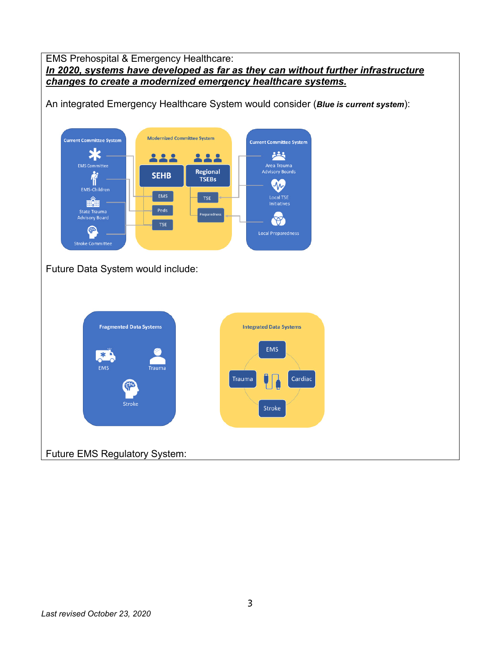#### EMS Prehospital & Emergency Healthcare: *In 2020, systems have developed as far as they can without further infrastructure changes to create a modernized emergency healthcare systems.*

An integrated Emergency Healthcare System would consider (*Blue is current system*):



Future Data System would include:



Future EMS Regulatory System: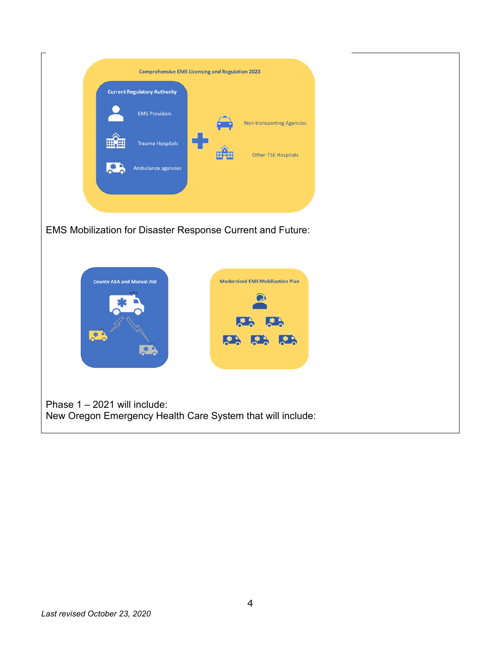| <b>Current Regulatory Authority</b> |  |                                  |
|-------------------------------------|--|----------------------------------|
| <b>EMS Providers</b>                |  | <b>Non-transporting Agencies</b> |
| <b>Trauma Hospitals</b>             |  |                                  |
| Ambulance agencies                  |  | <b>Other TSE Hospitals</b>       |

EMS Mobilization for Disaster Response Current and Future:



Phase 1 – 2021 will include: New Oregon Emergency Health Care System that will include: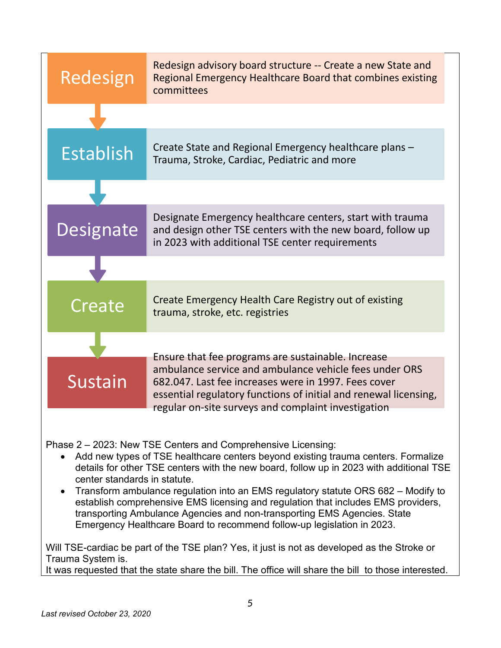| Redesign         | Redesign advisory board structure -- Create a new State and<br>Regional Emergency Healthcare Board that combines existing<br>committees                                                                                                   |
|------------------|-------------------------------------------------------------------------------------------------------------------------------------------------------------------------------------------------------------------------------------------|
|                  |                                                                                                                                                                                                                                           |
| <b>Establish</b> | Create State and Regional Emergency healthcare plans -<br>Trauma, Stroke, Cardiac, Pediatric and more                                                                                                                                     |
|                  |                                                                                                                                                                                                                                           |
| Designate        | Designate Emergency healthcare centers, start with trauma<br>and design other TSE centers with the new board, follow up<br>in 2023 with additional TSE center requirements                                                                |
|                  |                                                                                                                                                                                                                                           |
| Create           | Create Emergency Health Care Registry out of existing<br>trauma, stroke, etc. registries                                                                                                                                                  |
|                  | Ensure that fee programs are sustainable. Increase                                                                                                                                                                                        |
| Sustain          | ambulance service and ambulance vehicle fees under ORS<br>682.047. Last fee increases were in 1997. Fees cover<br>essential regulatory functions of initial and renewal licensing,<br>regular on-site surveys and complaint investigation |

Phase 2 – 2023: New TSE Centers and Comprehensive Licensing:

- Add new types of TSE healthcare centers beyond existing trauma centers. Formalize details for other TSE centers with the new board, follow up in 2023 with additional TSE center standards in statute.
- Transform ambulance regulation into an EMS regulatory statute ORS 682 Modify to establish comprehensive EMS licensing and regulation that includes EMS providers, transporting Ambulance Agencies and non-transporting EMS Agencies. State Emergency Healthcare Board to recommend follow-up legislation in 2023.

Will TSE-cardiac be part of the TSE plan? Yes, it just is not as developed as the Stroke or Trauma System is.

It was requested that the state share the bill. The office will share the bill to those interested.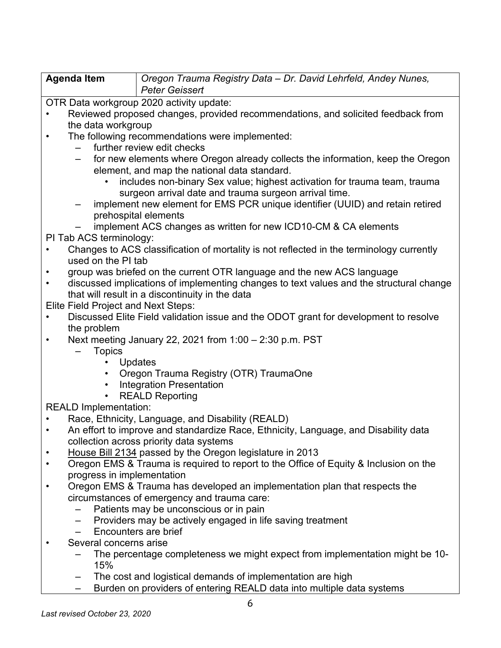| <b>Agenda Item</b> | Oregon Trauma Registry Data - Dr. David Lehrfeld, Andey Nunes, |
|--------------------|----------------------------------------------------------------|
|                    | Peter Geissert                                                 |

OTR Data workgroup 2020 activity update:

- Reviewed proposed changes, provided recommendations, and solicited feedback from the data workgroup
- The following recommendations were implemented:
	- further review edit checks
	- for new elements where Oregon already collects the information, keep the Oregon element, and map the national data standard.
		- includes non-binary Sex value; highest activation for trauma team, trauma surgeon arrival date and trauma surgeon arrival time.
	- implement new element for EMS PCR unique identifier (UUID) and retain retired prehospital elements
	- implement ACS changes as written for new ICD10-CM & CA elements

PI Tab ACS terminology:

- Changes to ACS classification of mortality is not reflected in the terminology currently used on the PI tab
- group was briefed on the current OTR language and the new ACS language
- discussed implications of implementing changes to text values and the structural change that will result in a discontinuity in the data

Elite Field Project and Next Steps:

- Discussed Elite Field validation issue and the ODOT grant for development to resolve the problem
- Next meeting January 22, 2021 from 1:00 2:30 p.m. PST
	- **Topics** 
		- Updates
		- Oregon Trauma Registry (OTR) TraumaOne
		- Integration Presentation
		- REALD Reporting

REALD Implementation:

- Race, Ethnicity, Language, and Disability (REALD)
- An effort to improve and standardize Race, Ethnicity, Language, and Disability data collection across priority data systems
- House Bill 2134 passed by the Oregon legislature in 2013
- Oregon EMS & Trauma is required to report to the Office of Equity & Inclusion on the progress in implementation
- Oregon EMS & Trauma has developed an implementation plan that respects the circumstances of emergency and trauma care:
	- Patients may be unconscious or in pain
	- Providers may be actively engaged in life saving treatment
	- Encounters are brief
- Several concerns arise
	- The percentage completeness we might expect from implementation might be 10- 15%
	- The cost and logistical demands of implementation are high
	- Burden on providers of entering REALD data into multiple data systems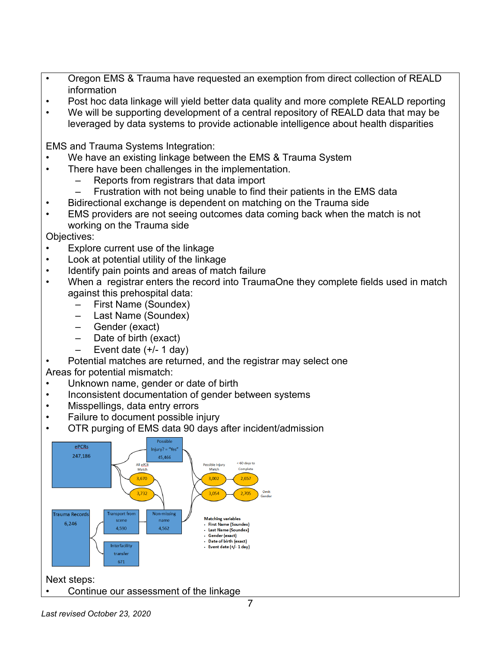- Oregon EMS & Trauma have requested an exemption from direct collection of REALD information
- Post hoc data linkage will yield better data quality and more complete REALD reporting
- We will be supporting development of a central repository of REALD data that may be leveraged by data systems to provide actionable intelligence about health disparities

EMS and Trauma Systems Integration:

- We have an existing linkage between the EMS & Trauma System
- There have been challenges in the implementation.
	- Reports from registrars that data import
	- Frustration with not being unable to find their patients in the EMS data
- Bidirectional exchange is dependent on matching on the Trauma side
- EMS providers are not seeing outcomes data coming back when the match is not working on the Trauma side

Objectives:

- Explore current use of the linkage
- Look at potential utility of the linkage
- Identify pain points and areas of match failure
- When a registrar enters the record into TraumaOne they complete fields used in match against this prehospital data:
	- First Name (Soundex)
	- Last Name (Soundex)
	- Gender (exact)
	- Date of birth (exact)
	- $-$  Event date  $(+/- 1$  day)

# • Potential matches are returned, and the registrar may select one

Areas for potential mismatch:

- Unknown name, gender or date of birth
- Inconsistent documentation of gender between systems
- Misspellings, data entry errors
- Failure to document possible injury
- OTR purging of EMS data 90 days after incident/admission



Next steps:

• Continue our assessment of the linkage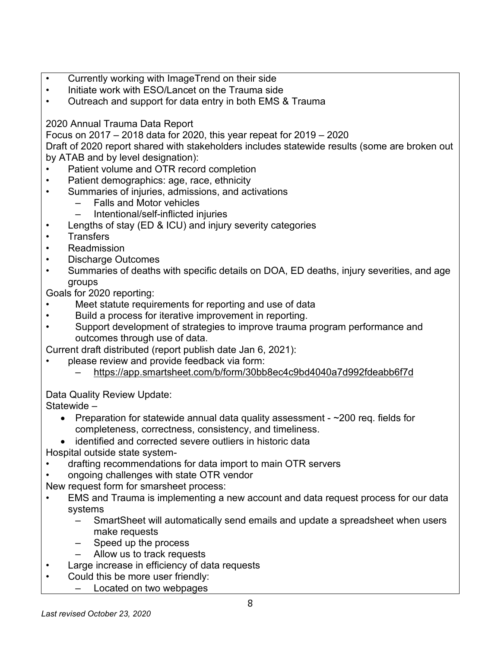- Currently working with ImageTrend on their side
- Initiate work with ESO/Lancet on the Trauma side
- Outreach and support for data entry in both EMS & Trauma

# 2020 Annual Trauma Data Report

Focus on 2017 – 2018 data for 2020, this year repeat for 2019 – 2020

Draft of 2020 report shared with stakeholders includes statewide results (some are broken out by ATAB and by level designation):

- Patient volume and OTR record completion
- Patient demographics: age, race, ethnicity
- Summaries of injuries, admissions, and activations
	- Falls and Motor vehicles
	- Intentional/self-inflicted injuries
- Lengths of stay (ED & ICU) and injury severity categories
- **Transfers**
- Readmission
- Discharge Outcomes
- Summaries of deaths with specific details on DOA, ED deaths, injury severities, and age groups

Goals for 2020 reporting:

- Meet statute requirements for reporting and use of data
- Build a process for iterative improvement in reporting.
- Support development of strategies to improve trauma program performance and outcomes through use of data.
- Current draft distributed (report publish date Jan 6, 2021):
	- please review and provide feedback via form:
		- https://app.smartsheet.com/b/form/30bb8ec4c9bd4040a7d992fdeabb6f7d

Data Quality Review Update:

Statewide –

- Preparation for statewide annual data quality assessment ~200 req. fields for completeness, correctness, consistency, and timeliness.
- identified and corrected severe outliers in historic data

Hospital outside state system-

- drafting recommendations for data import to main OTR servers
- ongoing challenges with state OTR vendor
- New request form for smarsheet process:
- EMS and Trauma is implementing a new account and data request process for our data systems
	- SmartSheet will automatically send emails and update a spreadsheet when users make requests
	- Speed up the process
	- Allow us to track requests
- Large increase in efficiency of data requests
- Could this be more user friendly:
	- Located on two webpages